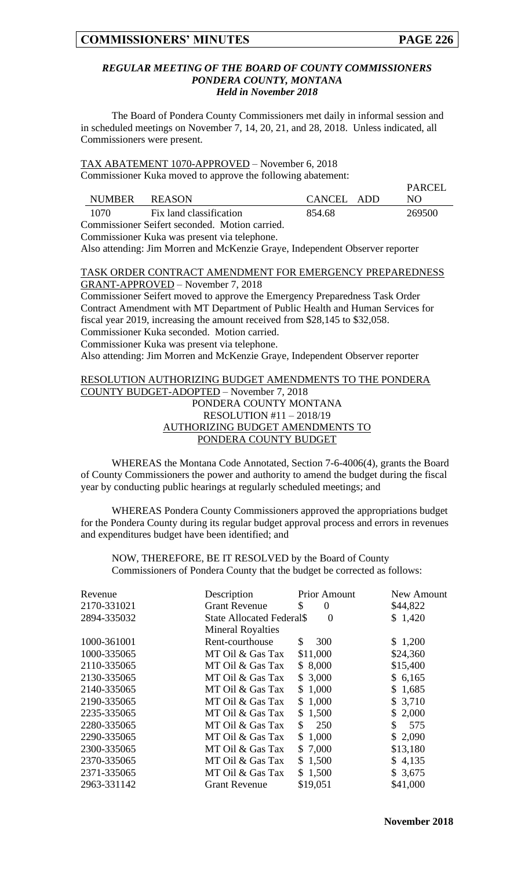**PARCEL** 

#### *REGULAR MEETING OF THE BOARD OF COUNTY COMMISSIONERS PONDERA COUNTY, MONTANA Held in November 2018*

The Board of Pondera County Commissioners met daily in informal session and in scheduled meetings on November 7, 14, 20, 21, and 28, 2018. Unless indicated, all Commissioners were present.

TAX ABATEMENT 1070-APPROVED – November 6, 2018 Commissioner Kuka moved to approve the following abatement:

|               |                                                |            | <b>FANCEL</b> |
|---------------|------------------------------------------------|------------|---------------|
| <b>NUMBER</b> | REASON                                         | CANCEL ADD | N()           |
| 1070          | Fix land classification                        | 854.68     | 269500        |
|               | Commissioner Seifert seconded. Motion carried. |            |               |

Commissioner Kuka was present via telephone.

Also attending: Jim Morren and McKenzie Graye, Independent Observer reporter

## TASK ORDER CONTRACT AMENDMENT FOR EMERGENCY PREPAREDNESS GRANT-APPROVED – November 7, 2018

Commissioner Seifert moved to approve the Emergency Preparedness Task Order Contract Amendment with MT Department of Public Health and Human Services for fiscal year 2019, increasing the amount received from \$28,145 to \$32,058. Commissioner Kuka seconded. Motion carried. Commissioner Kuka was present via telephone. Also attending: Jim Morren and McKenzie Graye, Independent Observer reporter

### RESOLUTION AUTHORIZING BUDGET AMENDMENTS TO THE PONDERA COUNTY BUDGET-ADOPTED – November 7, 2018 PONDERA COUNTY MONTANA RESOLUTION #11 – 2018/19 AUTHORIZING BUDGET AMENDMENTS TO PONDERA COUNTY BUDGET

WHEREAS the Montana Code Annotated, Section 7-6-4006(4), grants the Board of County Commissioners the power and authority to amend the budget during the fiscal year by conducting public hearings at regularly scheduled meetings; and

WHEREAS Pondera County Commissioners approved the appropriations budget for the Pondera County during its regular budget approval process and errors in revenues and expenditures budget have been identified; and

NOW, THEREFORE, BE IT RESOLVED by the Board of County Commissioners of Pondera County that the budget be corrected as follows:

| Revenue     | Description                      | <b>Prior Amount</b> | New Amount |
|-------------|----------------------------------|---------------------|------------|
| 2170-331021 | <b>Grant Revenue</b>             | \$<br>$\theta$      | \$44,822   |
| 2894-335032 | <b>State Allocated Federal S</b> | $\Omega$            | \$1,420    |
|             | <b>Mineral Royalties</b>         |                     |            |
| 1000-361001 | Rent-courthouse                  | 300<br>\$           | \$1,200    |
| 1000-335065 | MT Oil & Gas Tax                 | \$11,000            | \$24,360   |
| 2110-335065 | MT Oil & Gas Tax                 | \$8,000             | \$15,400   |
| 2130-335065 | MT Oil & Gas Tax                 | \$3,000             | \$6,165    |
| 2140-335065 | MT Oil & Gas Tax                 | \$1,000             | \$1,685    |
| 2190-335065 | MT Oil & Gas Tax                 | \$1,000             | \$3,710    |
| 2235-335065 | MT Oil & Gas Tax                 | \$1,500             | \$2,000    |
| 2280-335065 | MT Oil & Gas Tax                 | 250<br>\$.          | 575<br>\$  |
| 2290-335065 | MT Oil & Gas Tax                 | \$1,000             | \$2,090    |
| 2300-335065 | MT Oil & Gas Tax                 | \$7,000             | \$13,180   |
| 2370-335065 | MT Oil & Gas Tax                 | \$1,500             | \$4,135    |
| 2371-335065 | MT Oil & Gas Tax                 | \$1,500             | \$3,675    |
| 2963-331142 | <b>Grant Revenue</b>             | \$19,051            | \$41,000   |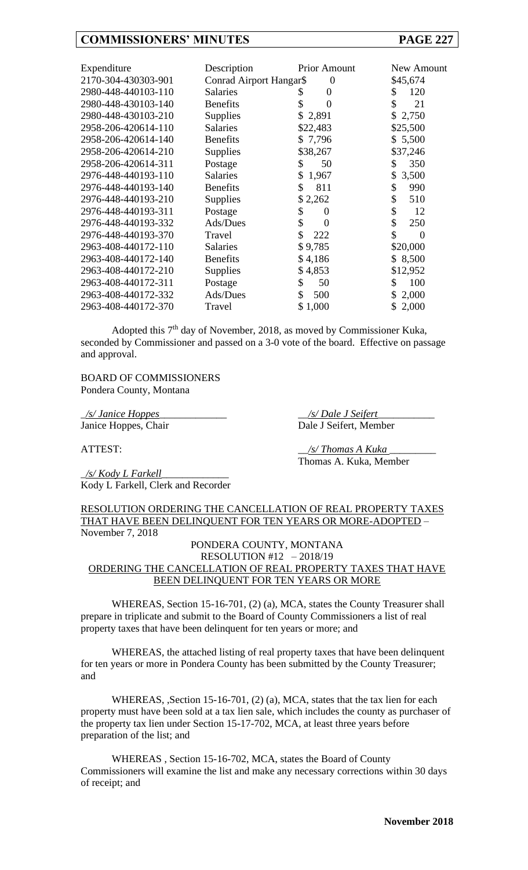| Expenditure<br>2170-304-430303-901<br>2980-448-440103-110<br>2980-448-430103-140<br>2980-448-430103-210<br>2958-206-420614-110<br>2958-206-420614-140<br>2958-206-420614-210<br>2958-206-420614-311<br>2976-448-440193-110<br>2976-448-440193-140<br>2976-448-440193-210 | Description<br>Conrad Airport Hangar\$<br><b>Salaries</b><br><b>Benefits</b><br>Supplies<br><b>Salaries</b><br><b>Benefits</b><br><b>Supplies</b><br>Postage<br><b>Salaries</b><br><b>Benefits</b><br><b>Supplies</b> | <b>Prior Amount</b><br>$\boldsymbol{0}$<br>0<br>S<br>\$<br>0<br>\$2,891<br>\$22,483<br>\$7,796<br>\$38,267<br>50<br>\$<br>1,967<br>\$<br>811<br>\$<br>\$2,262 | New Amount<br>\$45,674<br>120<br>\$.<br>\$<br>21<br>\$2,750<br>\$25,500<br>\$5,500<br>\$37,246<br>350<br>\$<br>3,500<br>\$<br>\$<br>990<br>\$<br>510 |
|--------------------------------------------------------------------------------------------------------------------------------------------------------------------------------------------------------------------------------------------------------------------------|-----------------------------------------------------------------------------------------------------------------------------------------------------------------------------------------------------------------------|---------------------------------------------------------------------------------------------------------------------------------------------------------------|------------------------------------------------------------------------------------------------------------------------------------------------------|
| 2976-448-440193-311<br>2976-448-440193-332<br>2976-448-440193-370<br>2963-408-440172-110<br>2963-408-440172-140<br>2963-408-440172-210<br>2963-408-440172-311<br>2963-408-440172-332<br>2963-408-440172-370                                                              | Postage<br>Ads/Dues<br>Travel<br><b>Salaries</b><br><b>Benefits</b><br>Supplies<br>Postage<br>Ads/Dues<br>Travel                                                                                                      | \$<br>0<br>\$<br>$\Omega$<br>\$<br>222<br>\$9,785<br>\$4,186<br>\$4,853<br>\$<br>50<br>\$<br>500<br>\$1,000                                                   | \$<br>12<br>\$<br>250<br>\$<br>$\Omega$<br>\$20,000<br>\$8,500<br>\$12,952<br>100<br>\$<br>2,000<br>\$<br>2,000                                      |

Adopted this 7<sup>th</sup> day of November, 2018, as moved by Commissioner Kuka, seconded by Commissioner and passed on a 3-0 vote of the board. Effective on passage and approval.

BOARD OF COMMISSIONERS Pondera County, Montana

\_*/s/ Janice Hoppes*\_\_\_\_\_\_\_\_\_\_\_\_\_ \_\_*/s/ Dale J Seifert*\_\_\_\_\_\_\_\_\_\_\_

Janice Hoppes, Chair Dale J Seifert, Member

Thomas A. Kuka, Member

ATTEST:  $\frac{1}{s'}$  Thomas A Kuka

\_*/s/ Kody L Farkell*\_\_\_\_\_\_\_\_\_\_\_\_\_ Kody L Farkell, Clerk and Recorder

RESOLUTION ORDERING THE CANCELLATION OF REAL PROPERTY TAXES THAT HAVE BEEN DELINQUENT FOR TEN YEARS OR MORE-ADOPTED – November 7, 2018

PONDERA COUNTY, MONTANA RESOLUTION #12 – 2018/19 ORDERING THE CANCELLATION OF REAL PROPERTY TAXES THAT HAVE BEEN DELINQUENT FOR TEN YEARS OR MORE

WHEREAS, Section 15-16-701, (2) (a), MCA, states the County Treasurer shall prepare in triplicate and submit to the Board of County Commissioners a list of real property taxes that have been delinquent for ten years or more; and

WHEREAS, the attached listing of real property taxes that have been delinquent for ten years or more in Pondera County has been submitted by the County Treasurer; and

WHEREAS, ,Section 15-16-701, (2) (a), MCA, states that the tax lien for each property must have been sold at a tax lien sale, which includes the county as purchaser of the property tax lien under Section 15-17-702, MCA, at least three years before preparation of the list; and

WHEREAS , Section 15-16-702, MCA, states the Board of County Commissioners will examine the list and make any necessary corrections within 30 days of receipt; and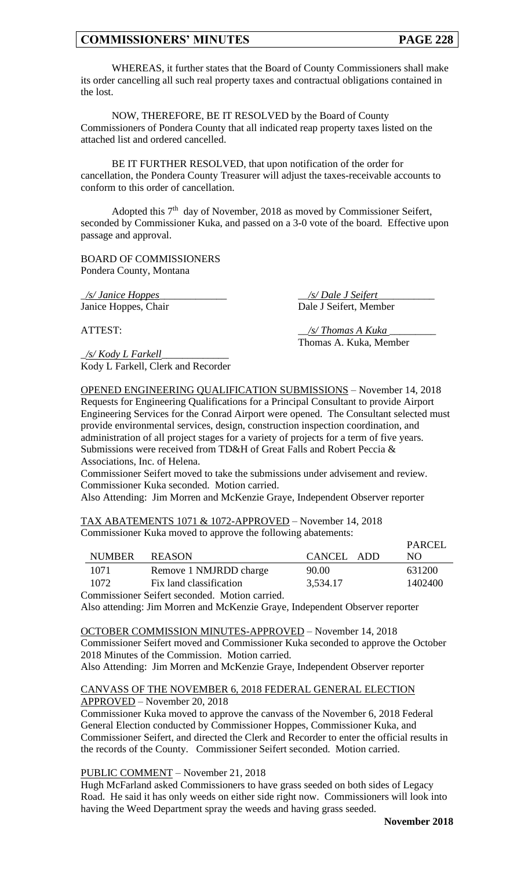WHEREAS, it further states that the Board of County Commissioners shall make its order cancelling all such real property taxes and contractual obligations contained in the lost.

NOW, THEREFORE, BE IT RESOLVED by the Board of County Commissioners of Pondera County that all indicated reap property taxes listed on the attached list and ordered cancelled.

BE IT FURTHER RESOLVED, that upon notification of the order for cancellation, the Pondera County Treasurer will adjust the taxes-receivable accounts to conform to this order of cancellation.

Adopted this  $7<sup>th</sup>$  day of November, 2018 as moved by Commissioner Seifert, seconded by Commissioner Kuka, and passed on a 3-0 vote of the board. Effective upon passage and approval.

BOARD OF COMMISSIONERS Pondera County, Montana

\_*/s/ Janice Hoppes*\_\_\_\_\_\_\_\_\_\_\_\_\_ \_\_*/s/ Dale J Seifert*\_\_\_\_\_\_\_\_\_\_\_ Janice Hoppes, Chair Dale J Seifert, Member

\_*/s/ Kody L Farkell*\_\_\_\_\_\_\_\_\_\_\_\_\_ Kody L Farkell, Clerk and Recorder

ATTEST: \_\_*/s/ Thomas A Kuka* \_\_\_\_\_\_\_\_\_ Thomas A. Kuka, Member

OPENED ENGINEERING QUALIFICATION SUBMISSIONS – November 14, 2018 Requests for Engineering Qualifications for a Principal Consultant to provide Airport Engineering Services for the Conrad Airport were opened. The Consultant selected must provide environmental services, design, construction inspection coordination, and administration of all project stages for a variety of projects for a term of five years. Submissions were received from TD&H of Great Falls and Robert Peccia & Associations, Inc. of Helena.

Commissioner Seifert moved to take the submissions under advisement and review. Commissioner Kuka seconded. Motion carried.

Also Attending: Jim Morren and McKenzie Graye, Independent Observer reporter

TAX ABATEMENTS 1071 & 1072-APPROVED – November 14, 2018 Commissioner Kuka moved to approve the following abatements:

|                                                |                         |            | PARCEL  |
|------------------------------------------------|-------------------------|------------|---------|
| <b>NUMBER</b>                                  | REASON                  | CANCEL ADD | NO.     |
| 1071                                           | Remove 1 NMJRDD charge  | 90.00      | 631200  |
| 1072                                           | Fix land classification | 3,534.17   | 1402400 |
| Commissioner Seifert seconded. Motion carried. |                         |            |         |

Also attending: Jim Morren and McKenzie Graye, Independent Observer reporter

OCTOBER COMMISSION MINUTES-APPROVED – November 14, 2018 Commissioner Seifert moved and Commissioner Kuka seconded to approve the October 2018 Minutes of the Commission. Motion carried. Also Attending: Jim Morren and McKenzie Graye, Independent Observer reporter

CANVASS OF THE NOVEMBER 6, 2018 FEDERAL GENERAL ELECTION APPROVED – November 20, 2018

Commissioner Kuka moved to approve the canvass of the November 6, 2018 Federal General Election conducted by Commissioner Hoppes, Commissioner Kuka, and Commissioner Seifert, and directed the Clerk and Recorder to enter the official results in the records of the County. Commissioner Seifert seconded. Motion carried.

PUBLIC COMMENT – November 21, 2018

Hugh McFarland asked Commissioners to have grass seeded on both sides of Legacy Road. He said it has only weeds on either side right now. Commissioners will look into having the Weed Department spray the weeds and having grass seeded.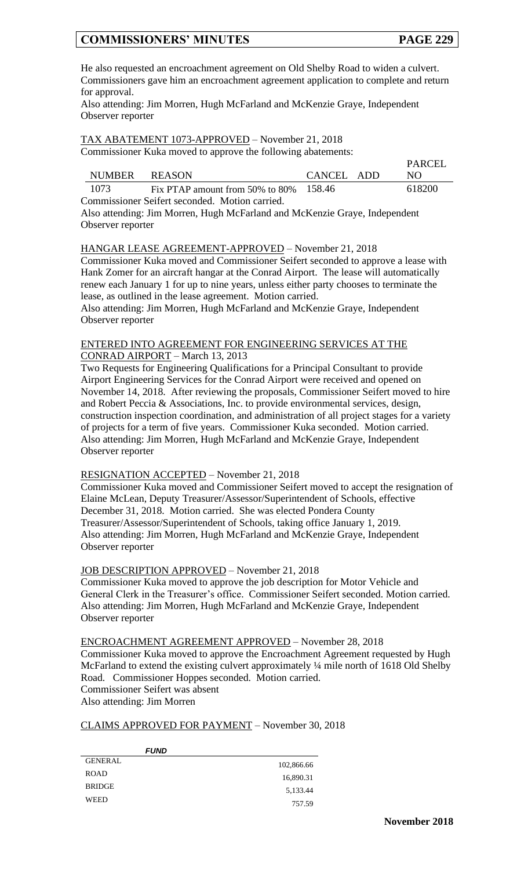He also requested an encroachment agreement on Old Shelby Road to widen a culvert. Commissioners gave him an encroachment agreement application to complete and return for approval.

Also attending: Jim Morren, Hugh McFarland and McKenzie Graye, Independent Observer reporter

TAX ABATEMENT 1073-APPROVED – November 21, 2018 Commissioner Kuka moved to approve the following abatements:

|                                                |                                        |            | <b>PARCEL</b> |  |
|------------------------------------------------|----------------------------------------|------------|---------------|--|
| NUMBER REASON                                  |                                        | CANCEL ADD | N()           |  |
| 1073                                           | Fix PTAP amount from 50% to 80% 158.46 |            | 618200        |  |
| Commissioner Seifert seconded. Motion carried. |                                        |            |               |  |

Also attending: Jim Morren, Hugh McFarland and McKenzie Graye, Independent Observer reporter

### HANGAR LEASE AGREEMENT-APPROVED – November 21, 2018

Commissioner Kuka moved and Commissioner Seifert seconded to approve a lease with Hank Zomer for an aircraft hangar at the Conrad Airport. The lease will automatically renew each January 1 for up to nine years, unless either party chooses to terminate the lease, as outlined in the lease agreement. Motion carried.

Also attending: Jim Morren, Hugh McFarland and McKenzie Graye, Independent Observer reporter

# ENTERED INTO AGREEMENT FOR ENGINEERING SERVICES AT THE

CONRAD AIRPORT – March 13, 2013

Two Requests for Engineering Qualifications for a Principal Consultant to provide Airport Engineering Services for the Conrad Airport were received and opened on November 14, 2018. After reviewing the proposals, Commissioner Seifert moved to hire and Robert Peccia & Associations, Inc. to provide environmental services, design, construction inspection coordination, and administration of all project stages for a variety of projects for a term of five years. Commissioner Kuka seconded. Motion carried. Also attending: Jim Morren, Hugh McFarland and McKenzie Graye, Independent Observer reporter

## RESIGNATION ACCEPTED – November 21, 2018

Commissioner Kuka moved and Commissioner Seifert moved to accept the resignation of Elaine McLean, Deputy Treasurer/Assessor/Superintendent of Schools, effective December 31, 2018. Motion carried. She was elected Pondera County Treasurer/Assessor/Superintendent of Schools, taking office January 1, 2019. Also attending: Jim Morren, Hugh McFarland and McKenzie Graye, Independent Observer reporter

### JOB DESCRIPTION APPROVED – November 21, 2018

Commissioner Kuka moved to approve the job description for Motor Vehicle and General Clerk in the Treasurer's office. Commissioner Seifert seconded. Motion carried. Also attending: Jim Morren, Hugh McFarland and McKenzie Graye, Independent Observer reporter

### ENCROACHMENT AGREEMENT APPROVED – November 28, 2018

Commissioner Kuka moved to approve the Encroachment Agreement requested by Hugh McFarland to extend the existing culvert approximately  $\frac{1}{4}$  mile north of 1618 Old Shelby Road. Commissioner Hoppes seconded. Motion carried. Commissioner Seifert was absent Also attending: Jim Morren

### CLAIMS APPROVED FOR PAYMENT – November 30, 2018

| <b>FUND</b>    |            |
|----------------|------------|
| <b>GENERAL</b> | 102,866.66 |
| <b>ROAD</b>    | 16,890.31  |
| <b>BRIDGE</b>  | 5,133.44   |
| WEED           | 757.59     |